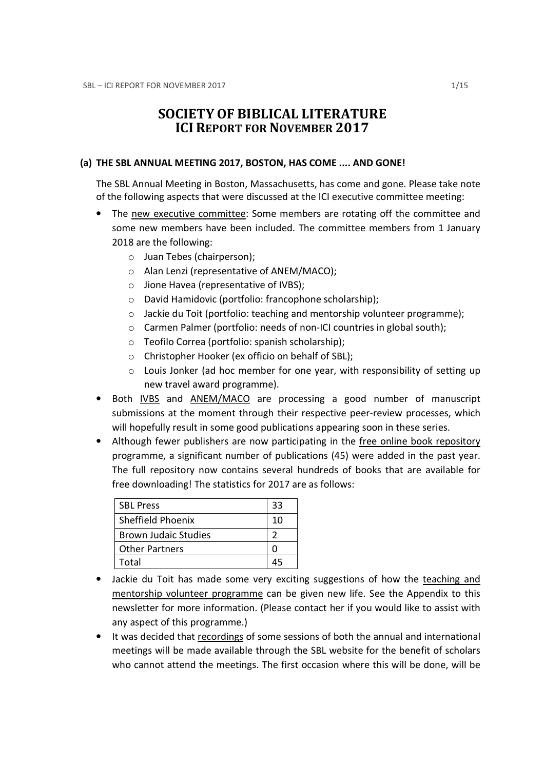# SOCIETY OF BIBLICAL LITERATURE ICI REPORT FOR NOVEMBER 2017

## (a) THE SBL ANNUAL MEETING 2017, BOSTON, HAS COME .... AND GONE!

The SBL Annual Meeting in Boston, Massachusetts, has come and gone. Please take note of the following aspects that were discussed at the ICI executive committee meeting:

- The new executive committee: Some members are rotating off the committee and some new members have been included. The committee members from 1 January 2018 are the following:
	- o Juan Tebes (chairperson);
	- o Alan Lenzi (representative of ANEM/MACO);
	- o Jione Havea (representative of IVBS);
	- o David Hamidovic (portfolio: francophone scholarship);
	- o Jackie du Toit (portfolio: teaching and mentorship volunteer programme);
	- $\circ$  Carmen Palmer (portfolio: needs of non-ICI countries in global south);
	- o Teofilo Correa (portfolio: spanish scholarship);
	- o Christopher Hooker (ex officio on behalf of SBL);
	- o Louis Jonker (ad hoc member for one year, with responsibility of setting up new travel award programme).
- Both IVBS and ANEM/MACO are processing a good number of manuscript submissions at the moment through their respective peer-review processes, which will hopefully result in some good publications appearing soon in these series.
- Although fewer publishers are now participating in the free online book repository programme, a significant number of publications (45) were added in the past year. The full repository now contains several hundreds of books that are available for free downloading! The statistics for 2017 are as follows:

| <b>SBL Press</b>            | 33 |
|-----------------------------|----|
| <b>Sheffield Phoenix</b>    | 10 |
| <b>Brown Judaic Studies</b> |    |
| <b>Other Partners</b>       |    |
| Total                       |    |

- Jackie du Toit has made some very exciting suggestions of how the teaching and mentorship volunteer programme can be given new life. See the Appendix to this newsletter for more information. (Please contact her if you would like to assist with any aspect of this programme.)
- It was decided that recordings of some sessions of both the annual and international meetings will be made available through the SBL website for the benefit of scholars who cannot attend the meetings. The first occasion where this will be done, will be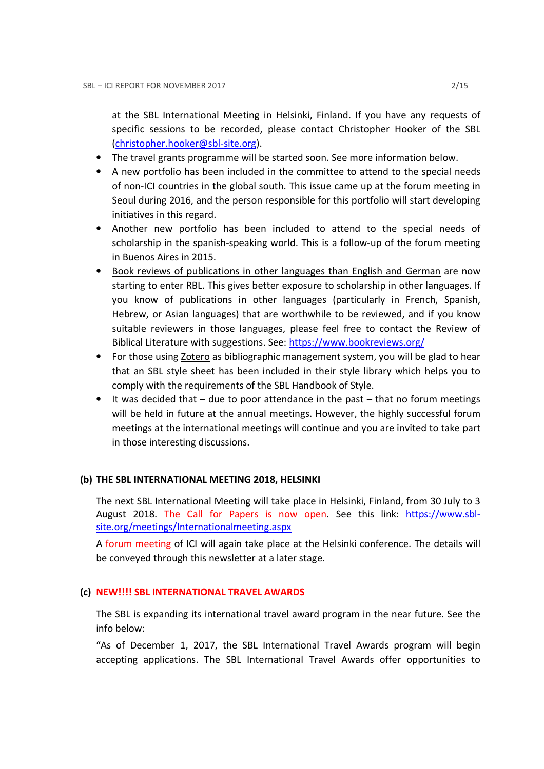at the SBL International Meeting in Helsinki, Finland. If you have any requests of specific sessions to be recorded, please contact Christopher Hooker of the SBL (christopher.hooker@sbl-site.org).

- The travel grants programme will be started soon. See more information below.
- A new portfolio has been included in the committee to attend to the special needs of non-ICI countries in the global south. This issue came up at the forum meeting in Seoul during 2016, and the person responsible for this portfolio will start developing initiatives in this regard.
- Another new portfolio has been included to attend to the special needs of scholarship in the spanish-speaking world. This is a follow-up of the forum meeting in Buenos Aires in 2015.
- Book reviews of publications in other languages than English and German are now starting to enter RBL. This gives better exposure to scholarship in other languages. If you know of publications in other languages (particularly in French, Spanish, Hebrew, or Asian languages) that are worthwhile to be reviewed, and if you know suitable reviewers in those languages, please feel free to contact the Review of Biblical Literature with suggestions. See: https://www.bookreviews.org/
- For those using Zotero as bibliographic management system, you will be glad to hear that an SBL style sheet has been included in their style library which helps you to comply with the requirements of the SBL Handbook of Style.
- It was decided that due to poor attendance in the past that no forum meetings will be held in future at the annual meetings. However, the highly successful forum meetings at the international meetings will continue and you are invited to take part in those interesting discussions.

## (b) THE SBL INTERNATIONAL MEETING 2018, HELSINKI

The next SBL International Meeting will take place in Helsinki, Finland, from 30 July to 3 August 2018. The Call for Papers is now open. See this link: https://www.sblsite.org/meetings/Internationalmeeting.aspx

A forum meeting of ICI will again take place at the Helsinki conference. The details will be conveyed through this newsletter at a later stage.

## (c) NEW!!!! SBL INTERNATIONAL TRAVEL AWARDS

The SBL is expanding its international travel award program in the near future. See the info below:

"As of December 1, 2017, the SBL International Travel Awards program will begin accepting applications. The SBL International Travel Awards offer opportunities to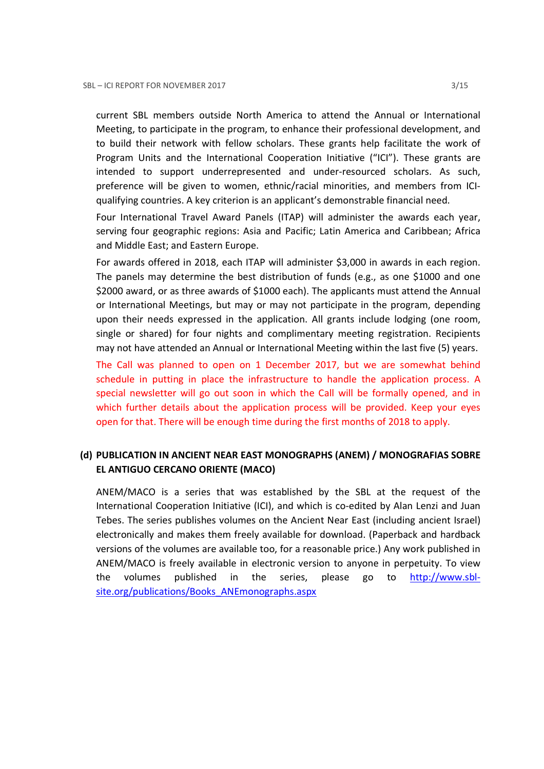current SBL members outside North America to attend the Annual or International Meeting, to participate in the program, to enhance their professional development, and to build their network with fellow scholars. These grants help facilitate the work of Program Units and the International Cooperation Initiative ("ICI"). These grants are intended to support underrepresented and under-resourced scholars. As such, preference will be given to women, ethnic/racial minorities, and members from ICIqualifying countries. A key criterion is an applicant's demonstrable financial need.

Four International Travel Award Panels (ITAP) will administer the awards each year, serving four geographic regions: Asia and Pacific; Latin America and Caribbean; Africa and Middle East; and Eastern Europe.

For awards offered in 2018, each ITAP will administer \$3,000 in awards in each region. The panels may determine the best distribution of funds (e.g., as one \$1000 and one \$2000 award, or as three awards of \$1000 each). The applicants must attend the Annual or International Meetings, but may or may not participate in the program, depending upon their needs expressed in the application. All grants include lodging (one room, single or shared) for four nights and complimentary meeting registration. Recipients may not have attended an Annual or International Meeting within the last five (5) years.

The Call was planned to open on 1 December 2017, but we are somewhat behind schedule in putting in place the infrastructure to handle the application process. A special newsletter will go out soon in which the Call will be formally opened, and in which further details about the application process will be provided. Keep your eyes open for that. There will be enough time during the first months of 2018 to apply.

## (d) PUBLICATION IN ANCIENT NEAR EAST MONOGRAPHS (ANEM) / MONOGRAFIAS SOBRE EL ANTIGUO CERCANO ORIENTE (MACO)

ANEM/MACO is a series that was established by the SBL at the request of the International Cooperation Initiative (ICI), and which is co-edited by Alan Lenzi and Juan Tebes. The series publishes volumes on the Ancient Near East (including ancient Israel) electronically and makes them freely available for download. (Paperback and hardback versions of the volumes are available too, for a reasonable price.) Any work published in ANEM/MACO is freely available in electronic version to anyone in perpetuity. To view the volumes published in the series, please go to http://www.sblsite.org/publications/Books\_ANEmonographs.aspx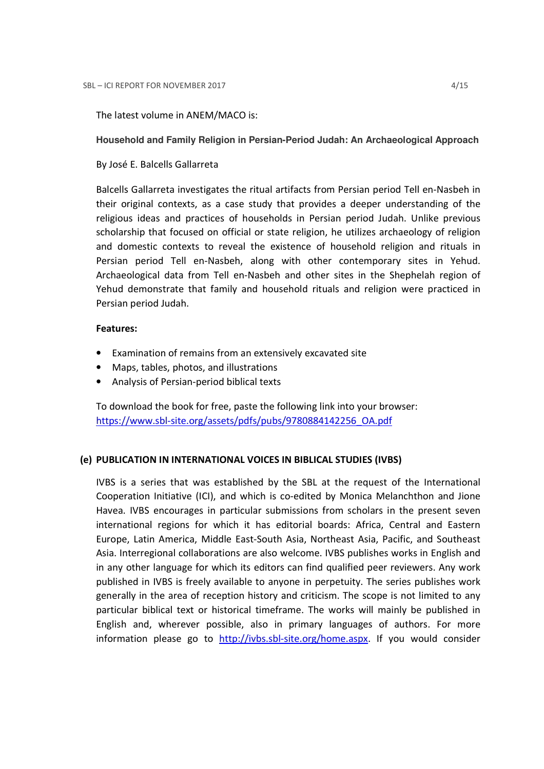The latest volume in ANEM/MACO is:

### **Household and Family Religion in Persian-Period Judah: An Archaeological Approach**

By José E. Balcells Gallarreta

Balcells Gallarreta investigates the ritual artifacts from Persian period Tell en-Nasbeh in their original contexts, as a case study that provides a deeper understanding of the religious ideas and practices of households in Persian period Judah. Unlike previous scholarship that focused on official or state religion, he utilizes archaeology of religion and domestic contexts to reveal the existence of household religion and rituals in Persian period Tell en-Nasbeh, along with other contemporary sites in Yehud. Archaeological data from Tell en-Nasbeh and other sites in the Shephelah region of Yehud demonstrate that family and household rituals and religion were practiced in Persian period Judah.

### Features:

- Examination of remains from an extensively excavated site
- Maps, tables, photos, and illustrations
- Analysis of Persian-period biblical texts

To download the book for free, paste the following link into your browser: https://www.sbl-site.org/assets/pdfs/pubs/9780884142256\_OA.pdf

## (e) PUBLICATION IN INTERNATIONAL VOICES IN BIBLICAL STUDIES (IVBS)

IVBS is a series that was established by the SBL at the request of the International Cooperation Initiative (ICI), and which is co-edited by Monica Melanchthon and Jione Havea. IVBS encourages in particular submissions from scholars in the present seven international regions for which it has editorial boards: Africa, Central and Eastern Europe, Latin America, Middle East-South Asia, Northeast Asia, Pacific, and Southeast Asia. Interregional collaborations are also welcome. IVBS publishes works in English and in any other language for which its editors can find qualified peer reviewers. Any work published in IVBS is freely available to anyone in perpetuity. The series publishes work generally in the area of reception history and criticism. The scope is not limited to any particular biblical text or historical timeframe. The works will mainly be published in English and, wherever possible, also in primary languages of authors. For more information please go to http://ivbs.sbl-site.org/home.aspx. If you would consider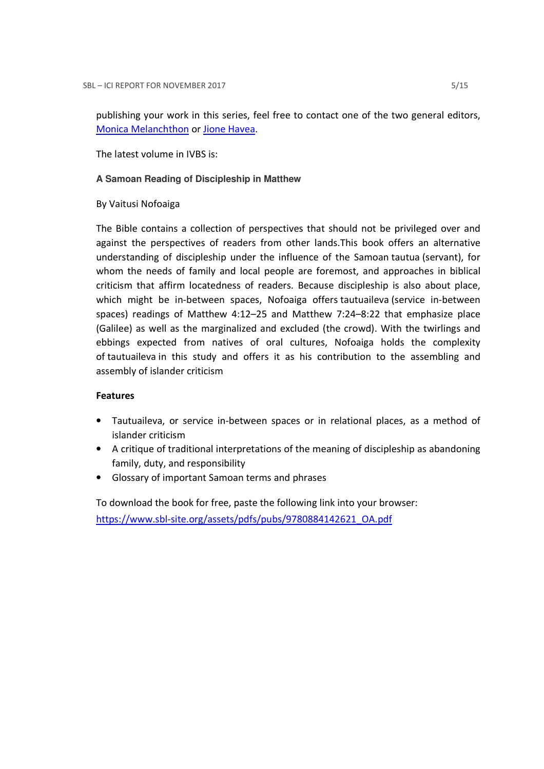publishing your work in this series, feel free to contact one of the two general editors, Monica Melanchthon or Jione Havea.

The latest volume in IVBS is:

## **A Samoan Reading of Discipleship in Matthew**

## By Vaitusi Nofoaiga

The Bible contains a collection of perspectives that should not be privileged over and against the perspectives of readers from other lands.This book offers an alternative understanding of discipleship under the influence of the Samoan tautua (servant), for whom the needs of family and local people are foremost, and approaches in biblical criticism that affirm locatedness of readers. Because discipleship is also about place, which might be in-between spaces, Nofoaiga offers tautuaileva (service in-between spaces) readings of Matthew 4:12–25 and Matthew 7:24–8:22 that emphasize place (Galilee) as well as the marginalized and excluded (the crowd). With the twirlings and ebbings expected from natives of oral cultures, Nofoaiga holds the complexity of tautuaileva in this study and offers it as his contribution to the assembling and assembly of islander criticism

## Features

- Tautuaileva, or service in-between spaces or in relational places, as a method of islander criticism
- A critique of traditional interpretations of the meaning of discipleship as abandoning family, duty, and responsibility
- Glossary of important Samoan terms and phrases

To download the book for free, paste the following link into your browser: https://www.sbl-site.org/assets/pdfs/pubs/9780884142621\_OA.pdf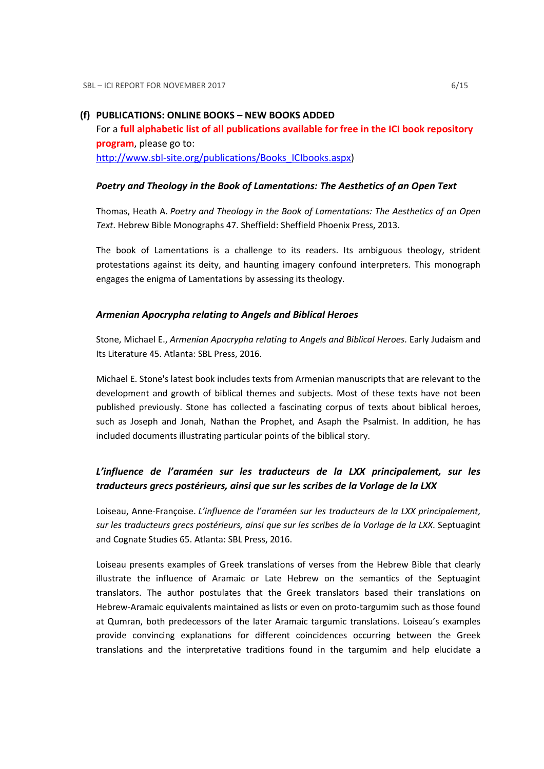### (f) PUBLICATIONS: ONLINE BOOKS – NEW BOOKS ADDED

For a full alphabetic list of all publications available for free in the ICI book repository program, please go to: http://www.sbl-site.org/publications/Books\_ICIbooks.aspx)

#### Poetry and Theology in the Book of Lamentations: The Aesthetics of an Open Text

Thomas, Heath A. Poetry and Theology in the Book of Lamentations: The Aesthetics of an Open Text. Hebrew Bible Monographs 47. Sheffield: Sheffield Phoenix Press, 2013.

The book of Lamentations is a challenge to its readers. Its ambiguous theology, strident protestations against its deity, and haunting imagery confound interpreters. This monograph engages the enigma of Lamentations by assessing its theology.

#### Armenian Apocrypha relating to Angels and Biblical Heroes

Stone, Michael E., Armenian Apocrypha relating to Angels and Biblical Heroes. Early Judaism and Its Literature 45. Atlanta: SBL Press, 2016.

Michael E. Stone's latest book includes texts from Armenian manuscripts that are relevant to the development and growth of biblical themes and subjects. Most of these texts have not been published previously. Stone has collected a fascinating corpus of texts about biblical heroes, such as Joseph and Jonah, Nathan the Prophet, and Asaph the Psalmist. In addition, he has included documents illustrating particular points of the biblical story.

## L'influence de l'araméen sur les traducteurs de la LXX principalement, sur les traducteurs grecs postérieurs, ainsi que sur les scribes de la Vorlage de la LXX

Loiseau, Anne-Françoise. L'influence de l'araméen sur les traducteurs de la LXX principalement, sur les traducteurs grecs postérieurs, ainsi que sur les scribes de la Vorlage de la LXX. Septuagint and Cognate Studies 65. Atlanta: SBL Press, 2016.

Loiseau presents examples of Greek translations of verses from the Hebrew Bible that clearly illustrate the influence of Aramaic or Late Hebrew on the semantics of the Septuagint translators. The author postulates that the Greek translators based their translations on Hebrew-Aramaic equivalents maintained as lists or even on proto-targumim such as those found at Qumran, both predecessors of the later Aramaic targumic translations. Loiseau's examples provide convincing explanations for different coincidences occurring between the Greek translations and the interpretative traditions found in the targumim and help elucidate a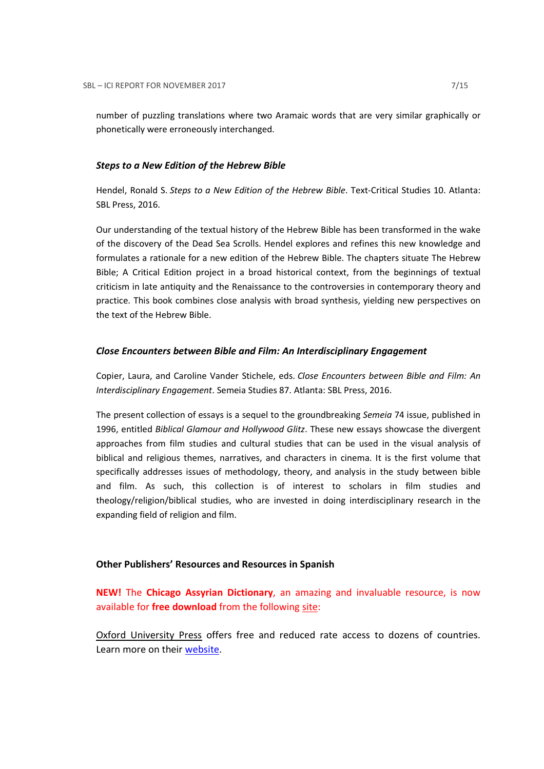number of puzzling translations where two Aramaic words that are very similar graphically or phonetically were erroneously interchanged.

#### Steps to a New Edition of the Hebrew Bible

Hendel, Ronald S. Steps to a New Edition of the Hebrew Bible. Text-Critical Studies 10. Atlanta: SBL Press, 2016.

Our understanding of the textual history of the Hebrew Bible has been transformed in the wake of the discovery of the Dead Sea Scrolls. Hendel explores and refines this new knowledge and formulates a rationale for a new edition of the Hebrew Bible. The chapters situate The Hebrew Bible; A Critical Edition project in a broad historical context, from the beginnings of textual criticism in late antiquity and the Renaissance to the controversies in contemporary theory and practice. This book combines close analysis with broad synthesis, yielding new perspectives on the text of the Hebrew Bible.

## Close Encounters between Bible and Film: An Interdisciplinary Engagement

Copier, Laura, and Caroline Vander Stichele, eds. Close Encounters between Bible and Film: An Interdisciplinary Engagement. Semeia Studies 87. Atlanta: SBL Press, 2016.

The present collection of essays is a sequel to the groundbreaking Semeia 74 issue, published in 1996, entitled Biblical Glamour and Hollywood Glitz. These new essays showcase the divergent approaches from film studies and cultural studies that can be used in the visual analysis of biblical and religious themes, narratives, and characters in cinema. It is the first volume that specifically addresses issues of methodology, theory, and analysis in the study between bible and film. As such, this collection is of interest to scholars in film studies and theology/religion/biblical studies, who are invested in doing interdisciplinary research in the expanding field of religion and film.

#### Other Publishers' Resources and Resources in Spanish

NEW! The Chicago Assyrian Dictionary, an amazing and invaluable resource, is now available for free download from the following site:

Oxford University Press offers free and reduced rate access to dozens of countries. Learn more on their website.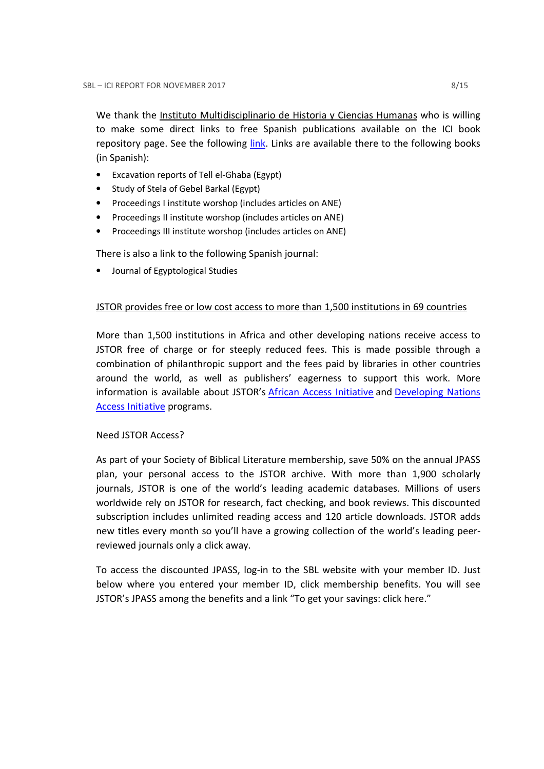We thank the Instituto Multidisciplinario de Historia y Ciencias Humanas who is willing to make some direct links to free Spanish publications available on the ICI book repository page. See the following link. Links are available there to the following books (in Spanish):

- Excavation reports of Tell el-Ghaba (Egypt)
- Study of Stela of Gebel Barkal (Egypt)
- Proceedings I institute worshop (includes articles on ANE)
- Proceedings II institute worshop (includes articles on ANE)
- Proceedings III institute worshop (includes articles on ANE)

There is also a link to the following Spanish journal:

• Journal of Egyptological Studies

## JSTOR provides free or low cost access to more than 1,500 institutions in 69 countries

More than 1,500 institutions in Africa and other developing nations receive access to JSTOR free of charge or for steeply reduced fees. This is made possible through a combination of philanthropic support and the fees paid by libraries in other countries around the world, as well as publishers' eagerness to support this work. More information is available about JSTOR's African Access Initiative and Developing Nations Access Initiative programs.

## Need JSTOR Access?

As part of your Society of Biblical Literature membership, save 50% on the annual JPASS plan, your personal access to the JSTOR archive. With more than 1,900 scholarly journals, JSTOR is one of the world's leading academic databases. Millions of users worldwide rely on JSTOR for research, fact checking, and book reviews. This discounted subscription includes unlimited reading access and 120 article downloads. JSTOR adds new titles every month so you'll have a growing collection of the world's leading peerreviewed journals only a click away.

To access the discounted JPASS, log-in to the SBL website with your member ID. Just below where you entered your member ID, click membership benefits. You will see JSTOR's JPASS among the benefits and a link "To get your savings: click here."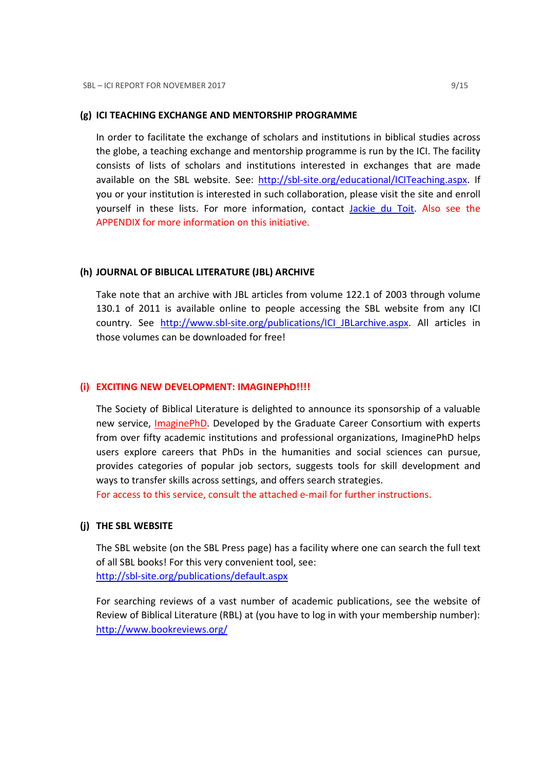#### (g) ICI TEACHING EXCHANGE AND MENTORSHIP PROGRAMME

In order to facilitate the exchange of scholars and institutions in biblical studies across the globe, a teaching exchange and mentorship programme is run by the ICI. The facility consists of lists of scholars and institutions interested in exchanges that are made available on the SBL website. See: http://sbl-site.org/educational/ICITeaching.aspx. If you or your institution is interested in such collaboration, please visit the site and enroll yourself in these lists. For more information, contact Jackie du Toit. Also see the APPENDIX for more information on this initiative.

#### (h) JOURNAL OF BIBLICAL LITERATURE (JBL) ARCHIVE

Take note that an archive with JBL articles from volume 122.1 of 2003 through volume 130.1 of 2011 is available online to people accessing the SBL website from any ICI country. See http://www.sbl-site.org/publications/ICI\_JBLarchive.aspx. All articles in those volumes can be downloaded for free!

#### (i) EXCITING NEW DEVELOPMENT: IMAGINEPhD!!!!

The Society of Biblical Literature is delighted to announce its sponsorship of a valuable new service, **ImaginePhD**. Developed by the Graduate Career Consortium with experts from over fifty academic institutions and professional organizations, ImaginePhD helps users explore careers that PhDs in the humanities and social sciences can pursue, provides categories of popular job sectors, suggests tools for skill development and ways to transfer skills across settings, and offers search strategies.

For access to this service, consult the attached e-mail for further instructions.

## (j) THE SBL WEBSITE

The SBL website (on the SBL Press page) has a facility where one can search the full text of all SBL books! For this very convenient tool, see: http://sbl-site.org/publications/default.aspx

For searching reviews of a vast number of academic publications, see the website of Review of Biblical Literature (RBL) at (you have to log in with your membership number): http://www.bookreviews.org/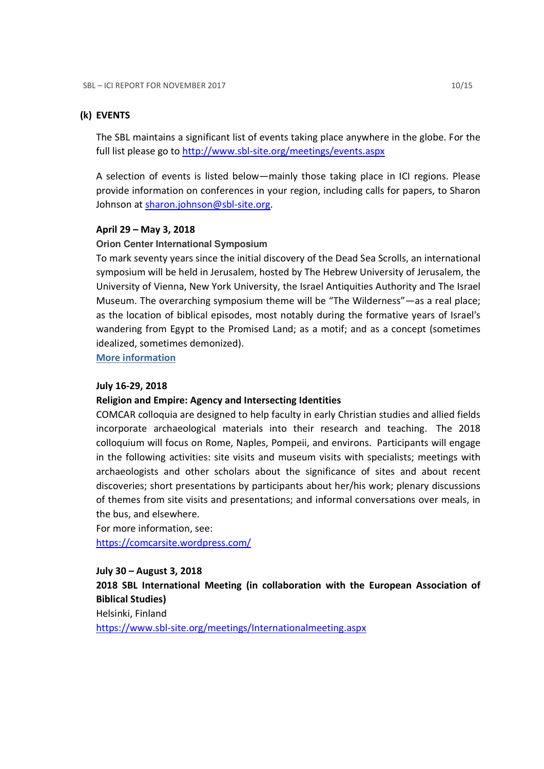### (k) EVENTS

The SBL maintains a significant list of events taking place anywhere in the globe. For the full list please go to http://www.sbl-site.org/meetings/events.aspx

A selection of events is listed below—mainly those taking place in ICI regions. Please provide information on conferences in your region, including calls for papers, to Sharon Johnson at sharon.johnson@sbl-site.org.

#### April 29 – May 3, 2018

### **Orion Center International Symposium**

To mark seventy years since the initial discovery of the Dead Sea Scrolls, an international symposium will be held in Jerusalem, hosted by The Hebrew University of Jerusalem, the University of Vienna, New York University, the Israel Antiquities Authority and The Israel Museum. The overarching symposium theme will be "The Wilderness"—as a real place; as the location of biblical episodes, most notably during the formative years of Israel's wandering from Egypt to the Promised Land; as a motif; and as a concept (sometimes idealized, sometimes demonized).

More information

### July 16-29, 2018

## Religion and Empire: Agency and Intersecting Identities

COMCAR colloquia are designed to help faculty in early Christian studies and allied fields incorporate archaeological materials into their research and teaching. The 2018 colloquium will focus on Rome, Naples, Pompeii, and environs. Participants will engage in the following activities: site visits and museum visits with specialists; meetings with archaeologists and other scholars about the significance of sites and about recent discoveries; short presentations by participants about her/his work; plenary discussions of themes from site visits and presentations; and informal conversations over meals, in the bus, and elsewhere.

For more information, see: https://comcarsite.wordpress.com/

July 30 – August 3, 2018 2018 SBL International Meeting (in collaboration with the European Association of Biblical Studies) Helsinki, Finland https://www.sbl-site.org/meetings/Internationalmeeting.aspx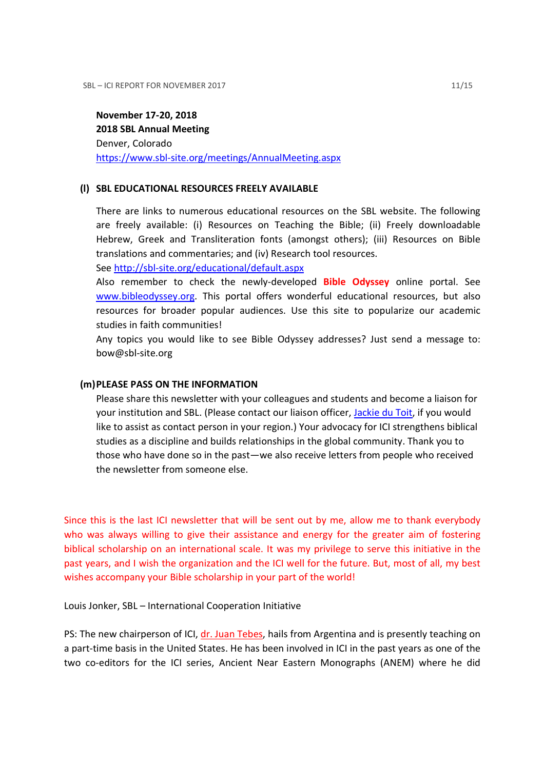## November 17-20, 2018 2018 SBL Annual Meeting Denver, Colorado https://www.sbl-site.org/meetings/AnnualMeeting.aspx

## (l) SBL EDUCATIONAL RESOURCES FREELY AVAILABLE

There are links to numerous educational resources on the SBL website. The following are freely available: (i) Resources on Teaching the Bible; (ii) Freely downloadable Hebrew, Greek and Transliteration fonts (amongst others); (iii) Resources on Bible translations and commentaries; and (iv) Research tool resources.

## See http://sbl-site.org/educational/default.aspx

Also remember to check the newly-developed **Bible Odyssey** online portal. See www.bibleodyssey.org. This portal offers wonderful educational resources, but also resources for broader popular audiences. Use this site to popularize our academic studies in faith communities!

Any topics you would like to see Bible Odyssey addresses? Just send a message to: bow@sbl-site.org

### (m)PLEASE PASS ON THE INFORMATION

Please share this newsletter with your colleagues and students and become a liaison for your institution and SBL. (Please contact our liaison officer, Jackie du Toit, if you would like to assist as contact person in your region.) Your advocacy for ICI strengthens biblical studies as a discipline and builds relationships in the global community. Thank you to those who have done so in the past—we also receive letters from people who received the newsletter from someone else.

Since this is the last ICI newsletter that will be sent out by me, allow me to thank everybody who was always willing to give their assistance and energy for the greater aim of fostering biblical scholarship on an international scale. It was my privilege to serve this initiative in the past years, and I wish the organization and the ICI well for the future. But, most of all, my best wishes accompany your Bible scholarship in your part of the world!

Louis Jonker, SBL – International Cooperation Initiative

PS: The new chairperson of ICI, dr. Juan Tebes, hails from Argentina and is presently teaching on a part-time basis in the United States. He has been involved in ICI in the past years as one of the two co-editors for the ICI series, Ancient Near Eastern Monographs (ANEM) where he did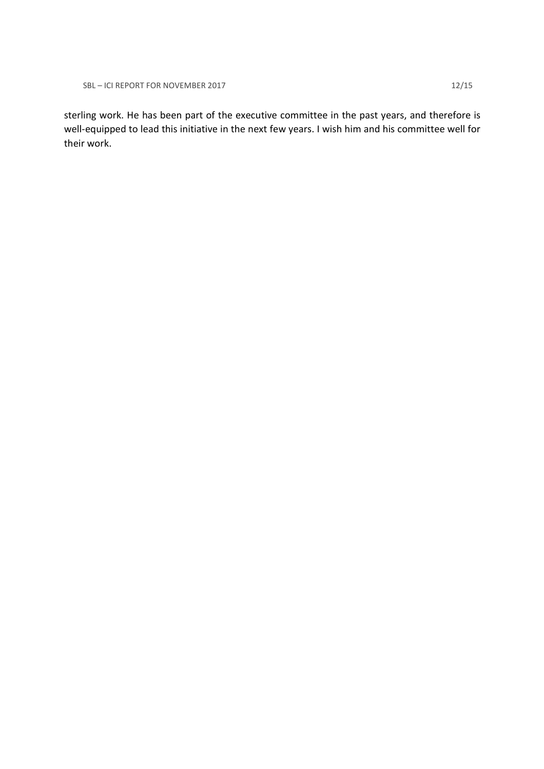SBL – ICI REPORT FOR NOVEMBER 2017 12/15

sterling work. He has been part of the executive committee in the past years, and therefore is well-equipped to lead this initiative in the next few years. I wish him and his committee well for their work.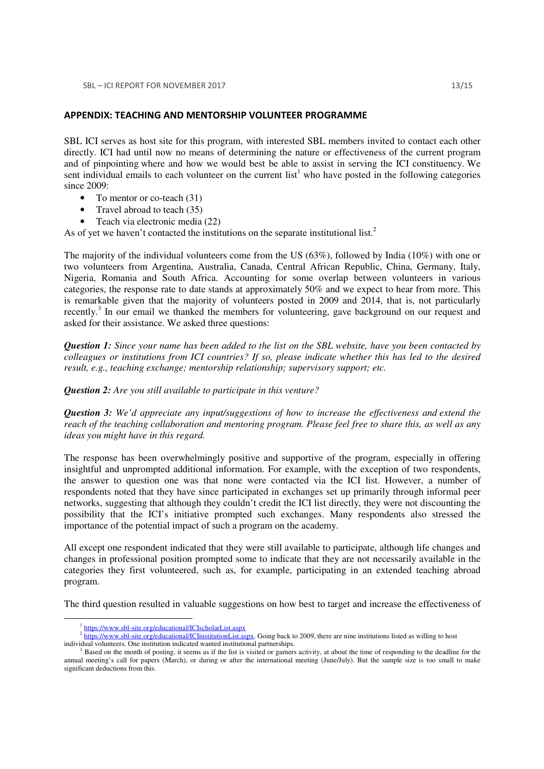#### APPENDIX: TEACHING AND MENTORSHIP VOLUNTEER PROGRAMME

SBL ICI serves as host site for this program, with interested SBL members invited to contact each other directly. ICI had until now no means of determining the nature or effectiveness of the current program and of pinpointing where and how we would best be able to assist in serving the ICI constituency. We sent individual emails to each volunteer on the current  $list<sup>1</sup>$  who have posted in the following categories since 2009:

- To mentor or co-teach (31)
- Travel abroad to teach (35)
- Teach via electronic media (22)

As of yet we haven't contacted the institutions on the separate institutional list.<sup>2</sup>

The majority of the individual volunteers come from the US (63%), followed by India (10%) with one or two volunteers from Argentina, Australia, Canada, Central African Republic, China, Germany, Italy, Nigeria, Romania and South Africa. Accounting for some overlap between volunteers in various categories, the response rate to date stands at approximately 50% and we expect to hear from more. This is remarkable given that the majority of volunteers posted in 2009 and 2014, that is, not particularly recently.<sup>3</sup> In our email we thanked the members for volunteering, gave background on our request and asked for their assistance. We asked three questions:

*Question 1: Since your name has been added to the list on the SBL website, have you been contacted by colleagues or institutions from ICI countries? If so, please indicate whether this has led to the desired result, e.g., teaching exchange; mentorship relationship; supervisory support; etc.* 

*Question 2: Are you still available to participate in this venture?* 

*Question 3: We'd appreciate any input/suggestions of how to increase the effectiveness and extend the reach of the teaching collaboration and mentoring program. Please feel free to share this, as well as any ideas you might have in this regard.* 

The response has been overwhelmingly positive and supportive of the program, especially in offering insightful and unprompted additional information. For example, with the exception of two respondents, the answer to question one was that none were contacted via the ICI list. However, a number of respondents noted that they have since participated in exchanges set up primarily through informal peer networks, suggesting that although they couldn't credit the ICI list directly, they were not discounting the possibility that the ICI's initiative prompted such exchanges. Many respondents also stressed the importance of the potential impact of such a program on the academy.

All except one respondent indicated that they were still available to participate, although life changes and changes in professional position prompted some to indicate that they are not necessarily available in the categories they first volunteered, such as, for example, participating in an extended teaching abroad program.

The third question resulted in valuable suggestions on how best to target and increase the effectiveness of

L

<sup>&</sup>lt;sup>1</sup> https://www.sbl-site.org/educational/ICIscholarList.aspx

<sup>&</sup>lt;sup>2</sup> https://www.sbl-site.org/educational/ICIinstitutionList.aspx. Going back to 2009, there are nine institutions listed as willing to host individual volunteers. One institution indicated wanted institutional partnerships.

<sup>3</sup> Based on the month of posting, it seems as if the list is visited or garners activity, at about the time of responding to the deadline for the annual meeting's call for papers (March), or during or after the international meeting (June/July). But the sample size is too small to make significant deductions from this.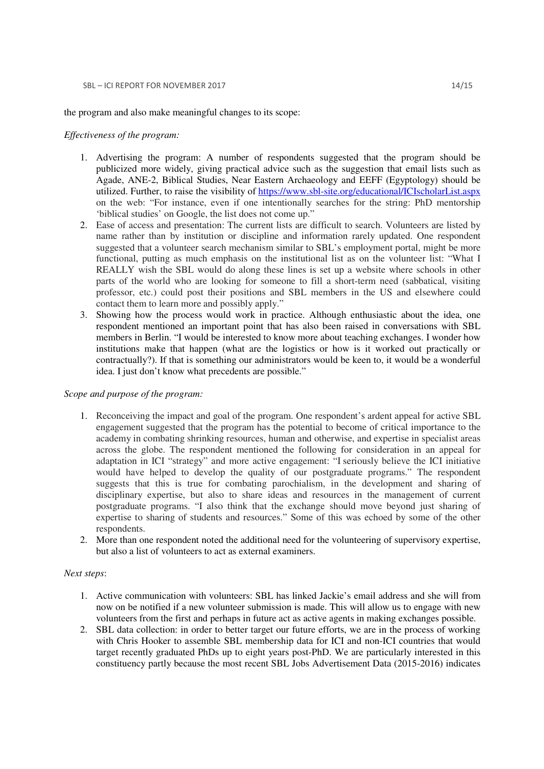the program and also make meaningful changes to its scope:

#### *Effectiveness of the program:*

- 1. Advertising the program: A number of respondents suggested that the program should be publicized more widely, giving practical advice such as the suggestion that email lists such as Agade, ANE-2, Biblical Studies, Near Eastern Archaeology and EEFF (Egyptology) should be utilized. Further, to raise the visibility of https://www.sbl-site.org/educational/ICIscholarList.aspx on the web: "For instance, even if one intentionally searches for the string: PhD mentorship 'biblical studies' on Google, the list does not come up."
- 2. Ease of access and presentation: The current lists are difficult to search. Volunteers are listed by name rather than by institution or discipline and information rarely updated. One respondent suggested that a volunteer search mechanism similar to SBL's employment portal, might be more functional, putting as much emphasis on the institutional list as on the volunteer list: "What I REALLY wish the SBL would do along these lines is set up a website where schools in other parts of the world who are looking for someone to fill a short-term need (sabbatical, visiting professor, etc.) could post their positions and SBL members in the US and elsewhere could contact them to learn more and possibly apply."
- 3. Showing how the process would work in practice. Although enthusiastic about the idea, one respondent mentioned an important point that has also been raised in conversations with SBL members in Berlin. "I would be interested to know more about teaching exchanges. I wonder how institutions make that happen (what are the logistics or how is it worked out practically or contractually?). If that is something our administrators would be keen to, it would be a wonderful idea. I just don't know what precedents are possible."

#### *Scope and purpose of the program:*

- 1. Reconceiving the impact and goal of the program. One respondent's ardent appeal for active SBL engagement suggested that the program has the potential to become of critical importance to the academy in combating shrinking resources, human and otherwise, and expertise in specialist areas across the globe. The respondent mentioned the following for consideration in an appeal for adaptation in ICI "strategy" and more active engagement: "I seriously believe the ICI initiative would have helped to develop the quality of our postgraduate programs." The respondent suggests that this is true for combating parochialism, in the development and sharing of disciplinary expertise, but also to share ideas and resources in the management of current postgraduate programs. "I also think that the exchange should move beyond just sharing of expertise to sharing of students and resources." Some of this was echoed by some of the other respondents.
- 2. More than one respondent noted the additional need for the volunteering of supervisory expertise, but also a list of volunteers to act as external examiners.

#### *Next steps*:

- 1. Active communication with volunteers: SBL has linked Jackie's email address and she will from now on be notified if a new volunteer submission is made. This will allow us to engage with new volunteers from the first and perhaps in future act as active agents in making exchanges possible.
- 2. SBL data collection: in order to better target our future efforts, we are in the process of working with Chris Hooker to assemble SBL membership data for ICI and non-ICI countries that would target recently graduated PhDs up to eight years post-PhD. We are particularly interested in this constituency partly because the most recent SBL Jobs Advertisement Data (2015-2016) indicates